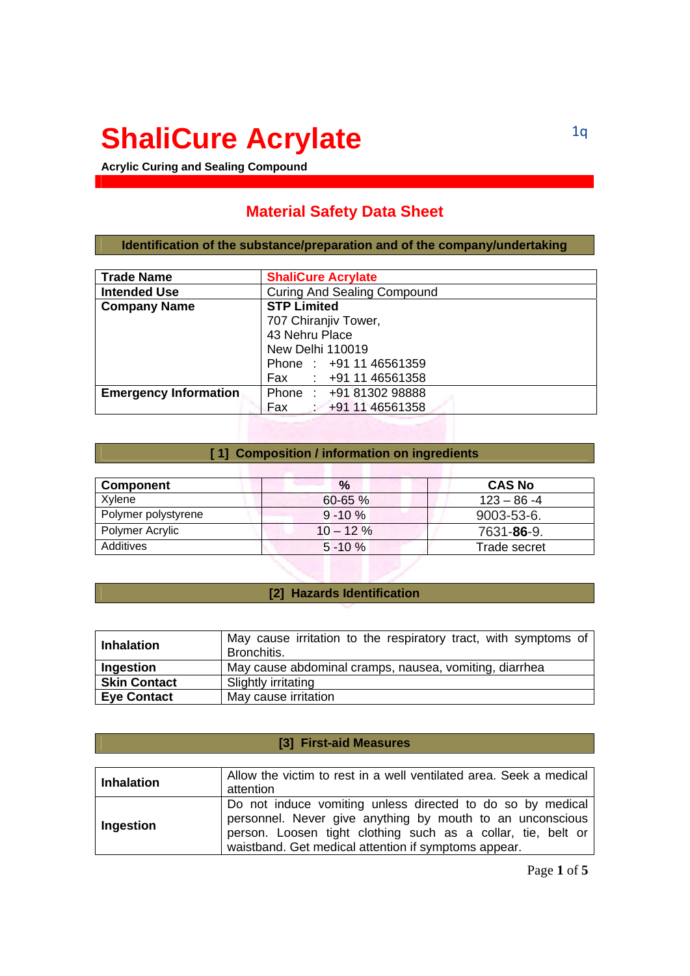# **ShaliCure Acrylate**

**Acrylic Curing and Sealing Compound** 

## **Material Safety Data Sheet**

**Identification of the substance/preparation and of the company/undertaking** 

| <b>Trade Name</b>            | <b>ShaliCure Acrylate</b>          |  |
|------------------------------|------------------------------------|--|
| <b>Intended Use</b>          | <b>Curing And Sealing Compound</b> |  |
| <b>Company Name</b>          | <b>STP Limited</b>                 |  |
|                              | 707 Chiranjiv Tower,               |  |
|                              | 43 Nehru Place                     |  |
|                              | New Delhi 110019                   |  |
|                              | Phone: +91 11 46561359             |  |
|                              | Fax : +91 11 46561358              |  |
| <b>Emergency Information</b> | Phone: +91 81302 98888             |  |
|                              | Fax<br>$\div$ +91 11 46561358      |  |

#### **[ 1] Composition / information on ingredients**

| <b>Component</b>    | $\%$         | <b>CAS No</b>       |
|---------------------|--------------|---------------------|
| Xylene              | $60 - 65 \%$ | $123 - 86 - 4$      |
| Polymer polystyrene | $9 - 10 \%$  | $9003 - 53 - 6$     |
| Polymer Acrylic     | $10 - 12 \%$ | 7631- <b>86</b> -9. |
| Additives           | $5 - 10 \%$  | Trade secret        |

## **[2] Hazards Identification**

| <b>Inhalation</b>   | May cause irritation to the respiratory tract, with symptoms of<br>Bronchitis. |
|---------------------|--------------------------------------------------------------------------------|
| Ingestion           | May cause abdominal cramps, nausea, vomiting, diarrhea                         |
| <b>Skin Contact</b> | Slightly irritating                                                            |
| <b>Eye Contact</b>  | May cause irritation                                                           |

## **[3] First-aid Measures**

| Inhalation | Allow the victim to rest in a well ventilated area. Seek a medical<br>attention                                                                                                                                                                 |
|------------|-------------------------------------------------------------------------------------------------------------------------------------------------------------------------------------------------------------------------------------------------|
| Ingestion  | Do not induce vomiting unless directed to do so by medical<br>personnel. Never give anything by mouth to an unconscious<br>person. Loosen tight clothing such as a collar, tie, belt or<br>waistband. Get medical attention if symptoms appear. |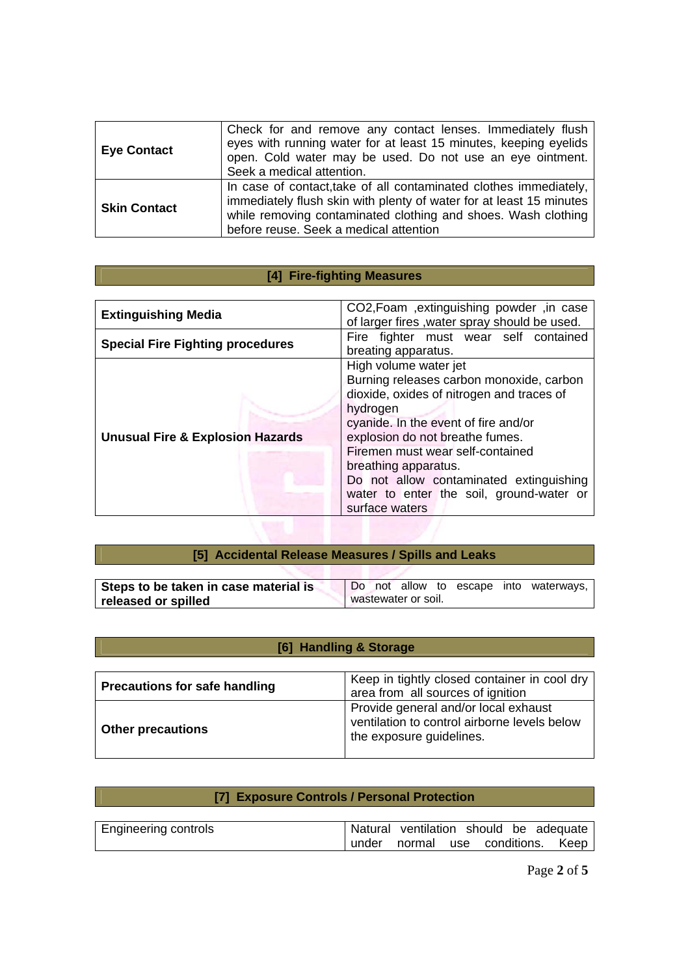| <b>Eye Contact</b>  | Check for and remove any contact lenses. Immediately flush<br>eyes with running water for at least 15 minutes, keeping eyelids<br>open. Cold water may be used. Do not use an eye ointment.<br>Seek a medical attention.                            |
|---------------------|-----------------------------------------------------------------------------------------------------------------------------------------------------------------------------------------------------------------------------------------------------|
| <b>Skin Contact</b> | In case of contact, take of all contaminated clothes immediately,<br>immediately flush skin with plenty of water for at least 15 minutes<br>while removing contaminated clothing and shoes. Wash clothing<br>before reuse. Seek a medical attention |

# **[4] Fire-fighting Measures**

| <b>Extinguishing Media</b>                  | CO2, Foam , extinguishing powder, in case<br>of larger fires, water spray should be used.                                                                                                                                                                                                                                                                                  |
|---------------------------------------------|----------------------------------------------------------------------------------------------------------------------------------------------------------------------------------------------------------------------------------------------------------------------------------------------------------------------------------------------------------------------------|
| <b>Special Fire Fighting procedures</b>     | Fire fighter must wear self contained<br>breating apparatus.                                                                                                                                                                                                                                                                                                               |
| <b>Unusual Fire &amp; Explosion Hazards</b> | High volume water jet<br>Burning releases carbon monoxide, carbon<br>dioxide, oxides of nitrogen and traces of<br>hydrogen<br>cyanide. In the event of fire and/or<br>explosion do not breathe fumes.<br>Firemen must wear self-contained<br>breathing apparatus.<br>Do not allow contaminated extinguishing<br>water to enter the soil, ground-water or<br>surface waters |

| [5] Accidental Release Measures / Spills and Leaks |                                        |  |  |  |  |
|----------------------------------------------------|----------------------------------------|--|--|--|--|
|                                                    |                                        |  |  |  |  |
| Steps to be taken in case material is              | Do not allow to escape into waterways, |  |  |  |  |
| released or spilled                                | wastewater or soil.                    |  |  |  |  |
|                                                    |                                        |  |  |  |  |

# **[6] Handling & Storage**

| <b>Precautions for safe handling</b> | Keep in tightly closed container in cool dry<br>area from all sources of ignition                                |
|--------------------------------------|------------------------------------------------------------------------------------------------------------------|
| <b>Other precautions</b>             | Provide general and/or local exhaust<br>ventilation to control airborne levels below<br>the exposure guidelines. |

## **[7] Exposure Controls / Personal Protection**

| <b>Engineering controls</b> | Natural ventilation should be adequate |  |  |  |
|-----------------------------|----------------------------------------|--|--|--|
|                             | under normal use conditions. Keep      |  |  |  |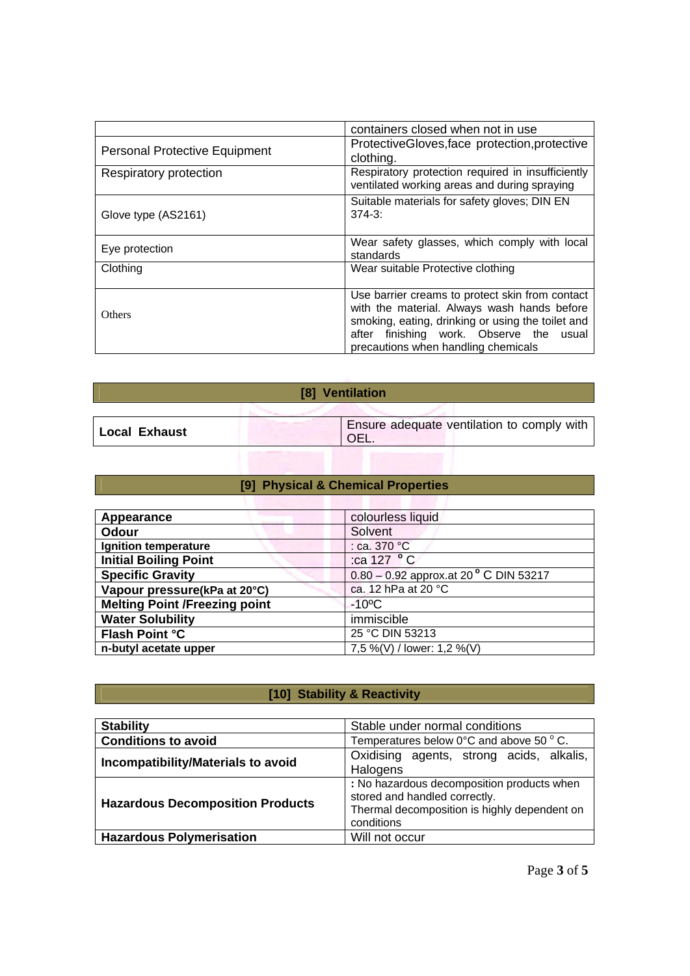|                                      | containers closed when not in use                                                                                                                                                                                                           |
|--------------------------------------|---------------------------------------------------------------------------------------------------------------------------------------------------------------------------------------------------------------------------------------------|
| <b>Personal Protective Equipment</b> | ProtectiveGloves, face protection, protective<br>clothing.                                                                                                                                                                                  |
| Respiratory protection               | Respiratory protection required in insufficiently<br>ventilated working areas and during spraying                                                                                                                                           |
| Glove type (AS2161)                  | Suitable materials for safety gloves; DIN EN<br>$374 - 3$ :                                                                                                                                                                                 |
| Eye protection                       | Wear safety glasses, which comply with local<br>standards                                                                                                                                                                                   |
| Clothing                             | Wear suitable Protective clothing                                                                                                                                                                                                           |
| Others                               | Use barrier creams to protect skin from contact<br>with the material. Always wash hands before<br>smoking, eating, drinking or using the toilet and<br>finishing work. Observe the<br>after<br>usual<br>precautions when handling chemicals |

| [8] Ventilation                                                       |  |  |  |
|-----------------------------------------------------------------------|--|--|--|
|                                                                       |  |  |  |
| Ensure adequate ventilation to comply with<br>  Local Exhaust<br>OEL. |  |  |  |
|                                                                       |  |  |  |

## **[9] Physical & Chemical Properties**

| Appearance                           | colourless liquid                        |
|--------------------------------------|------------------------------------------|
| <b>Odour</b>                         | Solvent                                  |
| Ignition temperature                 | : ca. 370 °C                             |
| <b>Initial Boiling Point</b>         | :ca 127 °C                               |
| <b>Specific Gravity</b>              | $0.80 - 0.92$ approx.at 20 ° C DIN 53217 |
| Vapour pressure(kPa at 20°C)         | ca. 12 hPa at 20 °C                      |
| <b>Melting Point /Freezing point</b> | $-10^{\circ}$ C                          |
| <b>Water Solubility</b>              | immiscible                               |
| <b>Flash Point °C</b>                | 25 °C DIN 53213                          |
| n-butyl acetate upper                | 7,5 %(V) / lower: 1,2 %(V)               |

# **[10] Stability & Reactivity**

| <b>Stability</b>                        | Stable under normal conditions                                                                                                            |
|-----------------------------------------|-------------------------------------------------------------------------------------------------------------------------------------------|
| <b>Conditions to avoid</b>              | Temperatures below $0^{\circ}$ C and above 50 $^{\circ}$ C.                                                                               |
| Incompatibility/Materials to avoid      | Oxidising agents, strong acids, alkalis,<br>Halogens                                                                                      |
| <b>Hazardous Decomposition Products</b> | : No hazardous decomposition products when<br>stored and handled correctly.<br>Thermal decomposition is highly dependent on<br>conditions |
| <b>Hazardous Polymerisation</b>         | Will not occur                                                                                                                            |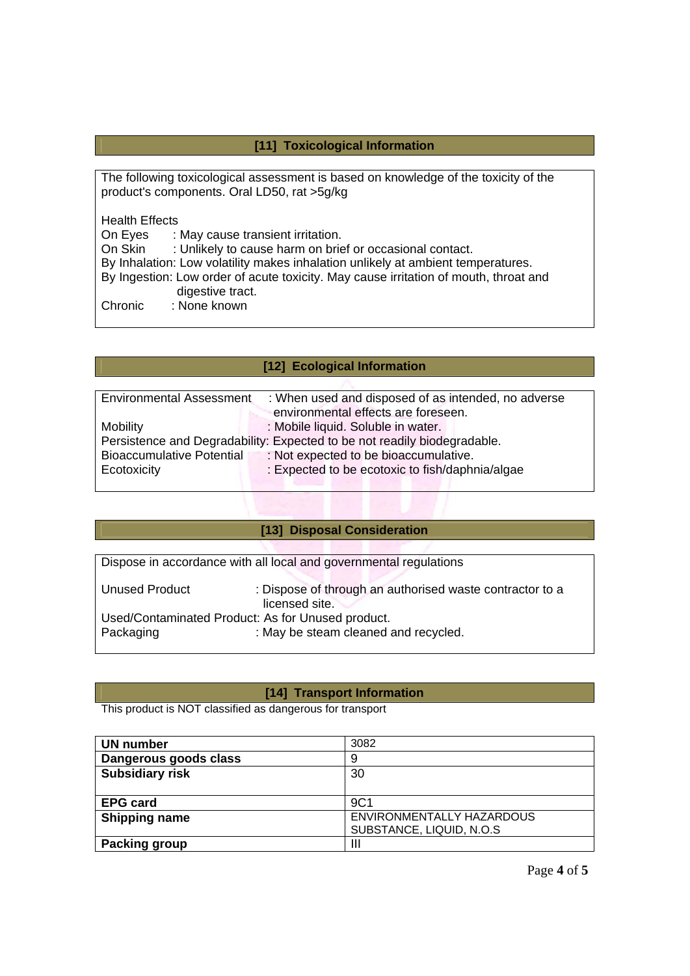## **[11] Toxicological Information**

The following toxicological assessment is based on knowledge of the toxicity of the product's components. Oral LD50, rat >5g/kg

Health Effects<br>On Eyes : I

On Eyes : May cause transient irritation.<br>On Skin : Unlikely to cause harm on brie

: Unlikely to cause harm on brief or occasional contact.

By Inhalation: Low volatility makes inhalation unlikely at ambient temperatures.

By Ingestion: Low order of acute toxicity. May cause irritation of mouth, throat and digestive tract.

Chronic : None known

## **[12] Ecological Information**

| <b>Environmental Assessment</b>                                          | : When used and disposed of as intended, no adverse |  |
|--------------------------------------------------------------------------|-----------------------------------------------------|--|
|                                                                          | environmental effects are foreseen.                 |  |
| <b>Mobility</b>                                                          | : Mobile liquid. Soluble in water.                  |  |
| Persistence and Degradability: Expected to be not readily biodegradable. |                                                     |  |
| <b>Bioaccumulative Potential</b>                                         | : Not expected to be bioaccumulative.               |  |
| Ecotoxicity                                                              | : Expected to be ecotoxic to fish/daphnia/algae     |  |
|                                                                          |                                                     |  |

| [13] Disposal Consideration                       |                                                                            |  |
|---------------------------------------------------|----------------------------------------------------------------------------|--|
|                                                   |                                                                            |  |
|                                                   | Dispose in accordance with all local and governmental regulations          |  |
| Unused Product                                    | : Dispose of through an authorised waste contractor to a<br>licensed site. |  |
| Used/Contaminated Product: As for Unused product. |                                                                            |  |
| Packaging                                         | : May be steam cleaned and recycled.                                       |  |

## **[14] Transport Information**

This product is NOT classified as dangerous for transport

| <b>UN number</b>       | 3082                      |
|------------------------|---------------------------|
| Dangerous goods class  | 9                         |
| <b>Subsidiary risk</b> | 30                        |
|                        |                           |
| <b>EPG card</b>        | 9C1                       |
| <b>Shipping name</b>   | ENVIRONMENTALLY HAZARDOUS |
|                        | SUBSTANCE, LIQUID, N.O.S  |
| <b>Packing group</b>   | Ш                         |